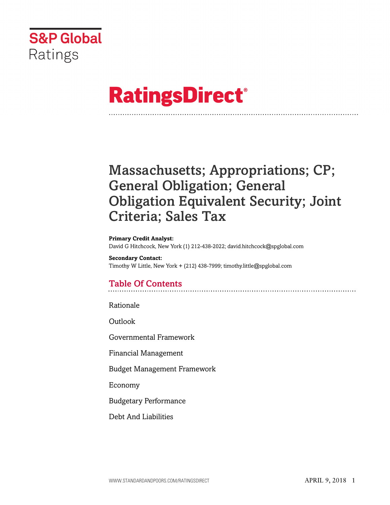

# **RatingsDirect®**

## Massachusetts; Appropriations; CP; General Obligation; General Obligation Equivalent Security; Joint Criteria; Sales Tax

#### **Primary Credit Analyst:**

David G Hitchcock, New York (1) 212-438-2022; david.hitchcock@spglobal.com

**Secondary Contact:** Timothy W Little, New York + (212) 438-7999; timothy.little@spglobal.com

## Table Of Contents

[Rationale](#page-1-0)

[Outlook](#page-4-0)

[Governmental Framework](#page-5-0)

[Financial Management](#page-6-0)

[Budget Management Framework](#page-7-0)

[Economy](#page-7-1)

[Budgetary Performance](#page-8-0)

[Debt And Liabilities](#page-9-0)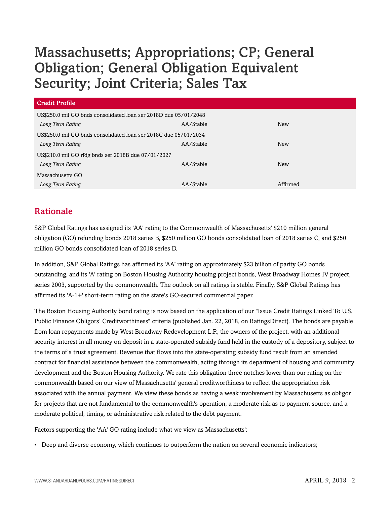| Credit Profile                                                   |           |            |  |
|------------------------------------------------------------------|-----------|------------|--|
| US\$250.0 mil GO bnds consolidated loan ser 2018D due 05/01/2048 |           |            |  |
| Long Term Rating                                                 | AA/Stable | New        |  |
| US\$250.0 mil GO bnds consolidated loan ser 2018C due 05/01/2034 |           |            |  |
| Long Term Rating                                                 | AA/Stable | <b>New</b> |  |
| US\$210.0 mil GO rfdg bnds ser 2018B due 07/01/2027              |           |            |  |
| Long Term Rating                                                 | AA/Stable | <b>New</b> |  |
| Massachusetts GO                                                 |           |            |  |
| Long Term Rating                                                 | AA/Stable | Affirmed   |  |

## <span id="page-1-0"></span>Rationale

S&P Global Ratings has assigned its 'AA' rating to the Commonwealth of Massachusetts' \$210 million general obligation (GO) refunding bonds 2018 series B, \$250 million GO bonds consolidated loan of 2018 series C, and \$250 million GO bonds consolidated loan of 2018 series D.

In addition, S&P Global Ratings has affirmed its 'AA' rating on approximately \$23 billion of parity GO bonds outstanding, and its 'A' rating on Boston Housing Authority housing project bonds, West Broadway Homes IV project, series 2003, supported by the commonwealth. The outlook on all ratings is stable. Finally, S&P Global Ratings has affirmed its 'A-1+' short-term rating on the state's GO-secured commercial paper.

The Boston Housing Authority bond rating is now based on the application of our "Issue Credit Ratings Linked To U.S. Public Finance Obligors' Creditworthiness" criteria (published Jan. 22, 2018, on RatingsDirect). The bonds are payable from loan repayments made by West Broadway Redevelopment L.P., the owners of the project, with an additional security interest in all money on deposit in a state-operated subsidy fund held in the custody of a depository, subject to the terms of a trust agreement. Revenue that flows into the state-operating subsidy fund result from an amended contract for financial assistance between the commonwealth, acting through its department of housing and community development and the Boston Housing Authority. We rate this obligation three notches lower than our rating on the commonwealth based on our view of Massachusetts' general creditworthiness to reflect the appropriation risk associated with the annual payment. We view these bonds as having a weak involvement by Massachusetts as obligor for projects that are not fundamental to the commonwealth's operation, a moderate risk as to payment source, and a moderate political, timing, or administrative risk related to the debt payment.

Factors supporting the 'AA' GO rating include what we view as Massachusetts':

• Deep and diverse economy, which continues to outperform the nation on several economic indicators;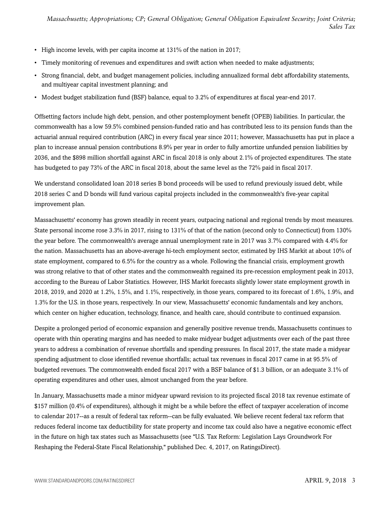- High income levels, with per capita income at 131% of the nation in 2017;
- Timely monitoring of revenues and expenditures and swift action when needed to make adjustments;
- Strong financial, debt, and budget management policies, including annualized formal debt affordability statements, and multiyear capital investment planning; and
- Modest budget stabilization fund (BSF) balance, equal to 3.2% of expenditures at fiscal year-end 2017.

Offsetting factors include high debt, pension, and other postemployment benefit (OPEB) liabilities. In particular, the commonwealth has a low 59.5% combined pension-funded ratio and has contributed less to its pension funds than the actuarial annual required contribution (ARC) in every fiscal year since 2011; however, Massachusetts has put in place a plan to increase annual pension contributions 8.9% per year in order to fully amortize unfunded pension liabilities by 2036, and the \$898 million shortfall against ARC in fiscal 2018 is only about 2.1% of projected expenditures. The state has budgeted to pay 73% of the ARC in fiscal 2018, about the same level as the 72% paid in fiscal 2017.

We understand consolidated loan 2018 series B bond proceeds will be used to refund previously issued debt, while 2018 series C and D bonds will fund various capital projects included in the commonwealth's five-year capital improvement plan.

Massachusetts' economy has grown steadily in recent years, outpacing national and regional trends by most measures. State personal income rose 3.3% in 2017, rising to 131% of that of the nation (second only to Connecticut) from 130% the year before. The commonwealth's average annual unemployment rate in 2017 was 3.7% compared with 4.4% for the nation. Massachusetts has an above-average hi-tech employment sector, estimated by IHS Markit at about 10% of state employment, compared to 6.5% for the country as a whole. Following the financial crisis, employment growth was strong relative to that of other states and the commonwealth regained its pre-recession employment peak in 2013, according to the Bureau of Labor Statistics. However, IHS Markit forecasts slightly lower state employment growth in 2018, 2019, and 2020 at 1.2%, 1.5%, and 1.1%, respectively, in those years, compared to its forecast of 1.6%, 1.9%, and 1.3% for the U.S. in those years, respectively. In our view, Massachusetts' economic fundamentals and key anchors, which center on higher education, technology, finance, and health care, should contribute to continued expansion.

Despite a prolonged period of economic expansion and generally positive revenue trends, Massachusetts continues to operate with thin operating margins and has needed to make midyear budget adjustments over each of the past three years to address a combination of revenue shortfalls and spending pressures. In fiscal 2017, the state made a midyear spending adjustment to close identified revenue shortfalls; actual tax revenues in fiscal 2017 came in at 95.5% of budgeted revenues. The commonwealth ended fiscal 2017 with a BSF balance of \$1.3 billion, or an adequate 3.1% of operating expenditures and other uses, almost unchanged from the year before.

In January, Massachusetts made a minor midyear upward revision to its projected fiscal 2018 tax revenue estimate of \$157 million (0.4% of expenditures), although it might be a while before the effect of taxpayer acceleration of income to calendar 2017--as a result of federal tax reform--can be fully evaluated. We believe recent federal tax reform that reduces federal income tax deductibility for state property and income tax could also have a negative economic effect in the future on high tax states such as Massachusetts (see "U.S. Tax Reform: Legislation Lays Groundwork For Reshaping the Federal-State Fiscal Relationship," published Dec. 4, 2017, on RatingsDirect).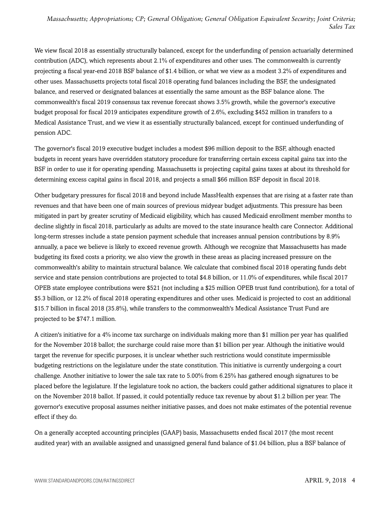We view fiscal 2018 as essentially structurally balanced, except for the underfunding of pension actuarially determined contribution (ADC), which represents about 2.1% of expenditures and other uses. The commonwealth is currently projecting a fiscal year-end 2018 BSF balance of \$1.4 billion, or what we view as a modest 3.2% of expenditures and other uses. Massachusetts projects total fiscal 2018 operating fund balances including the BSF, the undesignated balance, and reserved or designated balances at essentially the same amount as the BSF balance alone. The commonwealth's fiscal 2019 consensus tax revenue forecast shows 3.5% growth, while the governor's executive budget proposal for fiscal 2019 anticipates expenditure growth of 2.6%, excluding \$452 million in transfers to a Medical Assistance Trust, and we view it as essentially structurally balanced, except for continued underfunding of pension ADC.

The governor's fiscal 2019 executive budget includes a modest \$96 million deposit to the BSF, although enacted budgets in recent years have overridden statutory procedure for transferring certain excess capital gains tax into the BSF in order to use it for operating spending. Massachusetts is projecting capital gains taxes at about its threshold for determining excess capital gains in fiscal 2018, and projects a small \$66 million BSF deposit in fiscal 2018.

Other budgetary pressures for fiscal 2018 and beyond include MassHealth expenses that are rising at a faster rate than revenues and that have been one of main sources of previous midyear budget adjustments. This pressure has been mitigated in part by greater scrutiny of Medicaid eligibility, which has caused Medicaid enrollment member months to decline slightly in fiscal 2018, particularly as adults are moved to the state insurance health care Connector. Additional long-term stresses include a state pension payment schedule that increases annual pension contributions by 8.9% annually, a pace we believe is likely to exceed revenue growth. Although we recognize that Massachusetts has made budgeting its fixed costs a priority, we also view the growth in these areas as placing increased pressure on the commonwealth's ability to maintain structural balance. We calculate that combined fiscal 2018 operating funds debt service and state pension contributions are projected to total \$4.8 billion, or 11.0% of expenditures, while fiscal 2017 OPEB state employee contributions were \$521 (not including a \$25 million OPEB trust fund contribution), for a total of \$5.3 billion, or 12.2% of fiscal 2018 operating expenditures and other uses. Medicaid is projected to cost an additional \$15.7 billion in fiscal 2018 (35.8%), while transfers to the commonwealth's Medical Assistance Trust Fund are projected to be \$747.1 million.

A citizen's initiative for a 4% income tax surcharge on individuals making more than \$1 million per year has qualified for the November 2018 ballot; the surcharge could raise more than \$1 billion per year. Although the initiative would target the revenue for specific purposes, it is unclear whether such restrictions would constitute impermissible budgeting restrictions on the legislature under the state constitution. This initiative is currently undergoing a court challenge. Another initiative to lower the sale tax rate to 5.00% from 6.25% has gathered enough signatures to be placed before the legislature. If the legislature took no action, the backers could gather additional signatures to place it on the November 2018 ballot. If passed, it could potentially reduce tax revenue by about \$1.2 billion per year. The governor's executive proposal assumes neither initiative passes, and does not make estimates of the potential revenue effect if they do.

On a generally accepted accounting principles (GAAP) basis, Massachusetts ended fiscal 2017 (the most recent audited year) with an available assigned and unassigned general fund balance of \$1.04 billion, plus a BSF balance of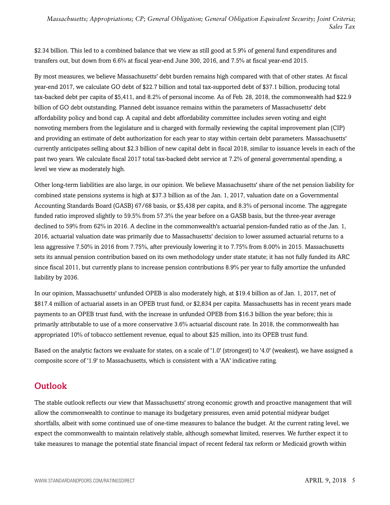\$2.34 billion. This led to a combined balance that we view as still good at 5.9% of general fund expenditures and transfers out, but down from 6.6% at fiscal year-end June 300, 2016, and 7.5% at fiscal year-end 2015.

By most measures, we believe Massachusetts' debt burden remains high compared with that of other states. At fiscal year-end 2017, we calculate GO debt of \$22.7 billion and total tax-supported debt of \$37.1 billion, producing total tax-backed debt per capita of \$5,411, and 8.2% of personal income. As of Feb. 28, 2018, the commonwealth had \$22.9 billion of GO debt outstanding. Planned debt issuance remains within the parameters of Massachusetts' debt affordability policy and bond cap. A capital and debt affordability committee includes seven voting and eight nonvoting members from the legislature and is charged with formally reviewing the capital improvement plan (CIP) and providing an estimate of debt authorization for each year to stay within certain debt parameters. Massachusetts' currently anticipates selling about \$2.3 billion of new capital debt in fiscal 2018, similar to issuance levels in each of the past two years. We calculate fiscal 2017 total tax-backed debt service at 7.2% of general governmental spending, a level we view as moderately high.

Other long-term liabilities are also large, in our opinion. We believe Massachusetts' share of the net pension liability for combined state pensions systems is high at \$37.3 billion as of the Jan. 1, 2017, valuation date on a Governmental Accounting Standards Board (GASB) 67/68 basis, or \$5,438 per capita, and 8.3% of personal income. The aggregate funded ratio improved slightly to 59.5% from 57.3% the year before on a GASB basis, but the three-year average declined to 59% from 62% in 2016. A decline in the commonwealth's actuarial pension-funded ratio as of the Jan. 1, 2016, actuarial valuation date was primarily due to Massachusetts' decision to lower assumed actuarial returns to a less aggressive 7.50% in 2016 from 7.75%, after previously lowering it to 7.75% from 8.00% in 2015. Massachusetts sets its annual pension contribution based on its own methodology under state statute; it has not fully funded its ARC since fiscal 2011, but currently plans to increase pension contributions 8.9% per year to fully amortize the unfunded liability by 2036.

In our opinion, Massachusetts' unfunded OPEB is also moderately high, at \$19.4 billion as of Jan. 1, 2017, net of \$817.4 million of actuarial assets in an OPEB trust fund, or \$2,834 per capita. Massachusetts has in recent years made payments to an OPEB trust fund, with the increase in unfunded OPEB from \$16.3 billion the year before; this is primarily attributable to use of a more conservative 3.6% actuarial discount rate. In 2018, the commonwealth has appropriated 10% of tobacco settlement revenue, equal to about \$25 million, into its OPEB trust fund.

Based on the analytic factors we evaluate for states, on a scale of '1.0' (strongest) to '4.0' (weakest), we have assigned a composite score of '1.9' to Massachusetts, which is consistent with a 'AA' indicative rating.

## <span id="page-4-0"></span>**Outlook**

The stable outlook reflects our view that Massachusetts' strong economic growth and proactive management that will allow the commonwealth to continue to manage its budgetary pressures, even amid potential midyear budget shortfalls, albeit with some continued use of one-time measures to balance the budget. At the current rating level, we expect the commonwealth to maintain relatively stable, although somewhat limited, reserves. We further expect it to take measures to manage the potential state financial impact of recent federal tax reform or Medicaid growth within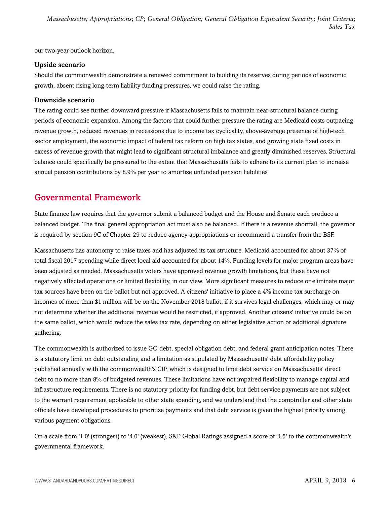our two-year outlook horizon.

#### Upside scenario

Should the commonwealth demonstrate a renewed commitment to building its reserves during periods of economic growth, absent rising long-term liability funding pressures, we could raise the rating.

#### Downside scenario

The rating could see further downward pressure if Massachusetts fails to maintain near-structural balance during periods of economic expansion. Among the factors that could further pressure the rating are Medicaid costs outpacing revenue growth, reduced revenues in recessions due to income tax cyclicality, above-average presence of high-tech sector employment, the economic impact of federal tax reform on high tax states, and growing state fixed costs in excess of revenue growth that might lead to significant structural imbalance and greatly diminished reserves. Structural balance could specifically be pressured to the extent that Massachusetts fails to adhere to its current plan to increase annual pension contributions by 8.9% per year to amortize unfunded pension liabilities.

## <span id="page-5-0"></span>Governmental Framework

State finance law requires that the governor submit a balanced budget and the House and Senate each produce a balanced budget. The final general appropriation act must also be balanced. If there is a revenue shortfall, the governor is required by section 9C of Chapter 29 to reduce agency appropriations or recommend a transfer from the BSF.

Massachusetts has autonomy to raise taxes and has adjusted its tax structure. Medicaid accounted for about 37% of total fiscal 2017 spending while direct local aid accounted for about 14%. Funding levels for major program areas have been adjusted as needed. Massachusetts voters have approved revenue growth limitations, but these have not negatively affected operations or limited flexibility, in our view. More significant measures to reduce or eliminate major tax sources have been on the ballot but not approved. A citizens' initiative to place a 4% income tax surcharge on incomes of more than \$1 million will be on the November 2018 ballot, if it survives legal challenges, which may or may not determine whether the additional revenue would be restricted, if approved. Another citizens' initiative could be on the same ballot, which would reduce the sales tax rate, depending on either legislative action or additional signature gathering.

The commonwealth is authorized to issue GO debt, special obligation debt, and federal grant anticipation notes. There is a statutory limit on debt outstanding and a limitation as stipulated by Massachusetts' debt affordability policy published annually with the commonwealth's CIP, which is designed to limit debt service on Massachusetts' direct debt to no more than 8% of budgeted revenues. These limitations have not impaired flexibility to manage capital and infrastructure requirements. There is no statutory priority for funding debt, but debt service payments are not subject to the warrant requirement applicable to other state spending, and we understand that the comptroller and other state officials have developed procedures to prioritize payments and that debt service is given the highest priority among various payment obligations.

On a scale from '1.0' (strongest) to '4.0' (weakest), S&P Global Ratings assigned a score of '1.5' to the commonwealth's governmental framework.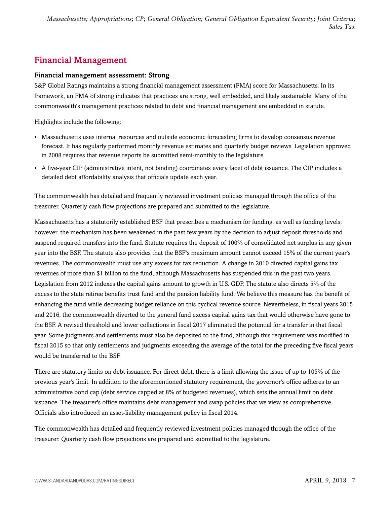## <span id="page-6-0"></span>Financial Management

#### Financial management assessment: Strong

S&P Global Ratings maintains a strong financial management assessment (FMA) score for Massachusetts. In its framework, an FMA of strong indicates that practices are strong, well embedded, and likely sustainable. Many of the commonwealth's management practices related to debt and financial management are embedded in statute.

Highlights include the following:

- Massachusetts uses internal resources and outside economic forecasting firms to develop consensus revenue forecast. It has regularly performed monthly revenue estimates and quarterly budget reviews. Legislation approved in 2008 requires that revenue reports be submitted semi-monthly to the legislature.
- A five-year CIP (administrative intent, not binding) coordinates every facet of debt issuance. The CIP includes a detailed debt affordability analysis that officials update each year.

The commonwealth has detailed and frequently reviewed investment policies managed through the office of the treasurer. Quarterly cash flow projections are prepared and submitted to the legislature.

Massachusetts has a statutorily established BSF that prescribes a mechanism for funding, as well as funding levels; however, the mechanism has been weakened in the past few years by the decision to adjust deposit thresholds and suspend required transfers into the fund. Statute requires the deposit of 100% of consolidated net surplus in any given year into the BSF. The statute also provides that the BSF's maximum amount cannot exceed 15% of the current year's revenues. The commonwealth must use any excess for tax reduction. A change in 2010 directed capital gains tax revenues of more than \$1 billion to the fund, although Massachusetts has suspended this in the past two years. Legislation from 2012 indexes the capital gains amount to growth in U.S. GDP. The statute also directs 5% of the excess to the state retiree benefits trust fund and the pension liability fund. We believe this measure has the benefit of enhancing the fund while decreasing budget reliance on this cyclical revenue source. Nevertheless, in fiscal years 2015 and 2016, the commonwealth diverted to the general fund excess capital gains tax that would otherwise have gone to the BSF. A revised threshold and lower collections in fiscal 2017 eliminated the potential for a transfer in that fiscal year. Some judgments and settlements must also be deposited to the fund, although this requirement was modified in fiscal 2015 so that only settlements and judgments exceeding the average of the total for the preceding five fiscal years would be transferred to the BSF.

There are statutory limits on debt issuance. For direct debt, there is a limit allowing the issue of up to 105% of the previous year's limit. In addition to the aforementioned statutory requirement, the governor's office adheres to an administrative bond cap (debt service capped at 8% of budgeted revenues), which sets the annual limit on debt issuance. The treasurer's office maintains debt management and swap policies that we view as comprehensive. Officials also introduced an asset-liability management policy in fiscal 2014.

The commonwealth has detailed and frequently reviewed investment policies managed through the office of the treasurer. Quarterly cash flow projections are prepared and submitted to the legislature.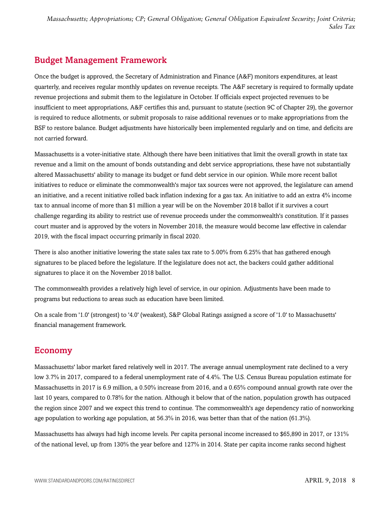## <span id="page-7-0"></span>Budget Management Framework

Once the budget is approved, the Secretary of Administration and Finance (A&F) monitors expenditures, at least quarterly, and receives regular monthly updates on revenue receipts. The A&F secretary is required to formally update revenue projections and submit them to the legislature in October. If officials expect projected revenues to be insufficient to meet appropriations, A&F certifies this and, pursuant to statute (section 9C of Chapter 29), the governor is required to reduce allotments, or submit proposals to raise additional revenues or to make appropriations from the BSF to restore balance. Budget adjustments have historically been implemented regularly and on time, and deficits are not carried forward.

Massachusetts is a voter-initiative state. Although there have been initiatives that limit the overall growth in state tax revenue and a limit on the amount of bonds outstanding and debt service appropriations, these have not substantially altered Massachusetts' ability to manage its budget or fund debt service in our opinion. While more recent ballot initiatives to reduce or eliminate the commonwealth's major tax sources were not approved, the legislature can amend an initiative, and a recent initiative rolled back inflation indexing for a gas tax. An initiative to add an extra 4% income tax to annual income of more than \$1 million a year will be on the November 2018 ballot if it survives a court challenge regarding its ability to restrict use of revenue proceeds under the commonwealth's constitution. If it passes court muster and is approved by the voters in November 2018, the measure would become law effective in calendar 2019, with the fiscal impact occurring primarily in fiscal 2020.

There is also another initiative lowering the state sales tax rate to 5.00% from 6.25% that has gathered enough signatures to be placed before the legislature. If the legislature does not act, the backers could gather additional signatures to place it on the November 2018 ballot.

The commonwealth provides a relatively high level of service, in our opinion. Adjustments have been made to programs but reductions to areas such as education have been limited.

On a scale from '1.0' (strongest) to '4.0' (weakest), S&P Global Ratings assigned a score of '1.0' to Massachusetts' financial management framework.

### <span id="page-7-1"></span>Economy

Massachusetts' labor market fared relatively well in 2017. The average annual unemployment rate declined to a very low 3.7% in 2017, compared to a federal unemployment rate of 4.4%. The U.S. Census Bureau population estimate for Massachusetts in 2017 is 6.9 million, a 0.50% increase from 2016, and a 0.65% compound annual growth rate over the last 10 years, compared to 0.78% for the nation. Although it below that of the nation, population growth has outpaced the region since 2007 and we expect this trend to continue. The commonwealth's age dependency ratio of nonworking age population to working age population, at 56.3% in 2016, was better than that of the nation (61.3%).

Massachusetts has always had high income levels. Per capita personal income increased to \$65,890 in 2017, or 131% of the national level, up from 130% the year before and 127% in 2014. State per capita income ranks second highest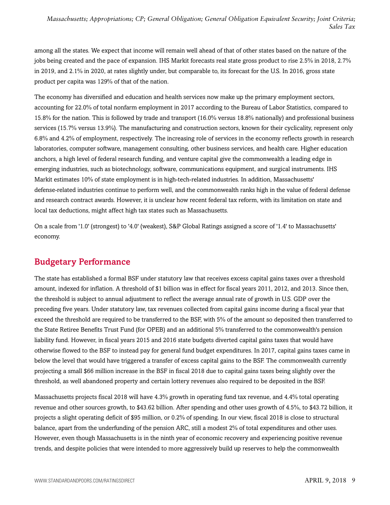among all the states. We expect that income will remain well ahead of that of other states based on the nature of the jobs being created and the pace of expansion. IHS Markit forecasts real state gross product to rise 2.5% in 2018, 2.7% in 2019, and 2.1% in 2020, at rates slightly under, but comparable to, its forecast for the U.S. In 2016, gross state product per capita was 129% of that of the nation.

The economy has diversified and education and health services now make up the primary employment sectors, accounting for 22.0% of total nonfarm employment in 2017 according to the Bureau of Labor Statistics, compared to 15.8% for the nation. This is followed by trade and transport (16.0% versus 18.8% nationally) and professional business services (15.7% versus 13.9%). The manufacturing and construction sectors, known for their cyclicality, represent only 6.8% and 4.2% of employment, respectively. The increasing role of services in the economy reflects growth in research laboratories, computer software, management consulting, other business services, and health care. Higher education anchors, a high level of federal research funding, and venture capital give the commonwealth a leading edge in emerging industries, such as biotechnology, software, communications equipment, and surgical instruments. IHS Markit estimates 10% of state employment is in high-tech-related industries. In addition, Massachusetts' defense-related industries continue to perform well, and the commonwealth ranks high in the value of federal defense and research contract awards. However, it is unclear how recent federal tax reform, with its limitation on state and local tax deductions, might affect high tax states such as Massachusetts.

On a scale from '1.0' (strongest) to '4.0' (weakest), S&P Global Ratings assigned a score of '1.4' to Massachusetts' economy.

### <span id="page-8-0"></span>Budgetary Performance

The state has established a formal BSF under statutory law that receives excess capital gains taxes over a threshold amount, indexed for inflation. A threshold of \$1 billion was in effect for fiscal years 2011, 2012, and 2013. Since then, the threshold is subject to annual adjustment to reflect the average annual rate of growth in U.S. GDP over the preceding five years. Under statutory law, tax revenues collected from capital gains income during a fiscal year that exceed the threshold are required to be transferred to the BSF, with 5% of the amount so deposited then transferred to the State Retiree Benefits Trust Fund (for OPEB) and an additional 5% transferred to the commonwealth's pension liability fund. However, in fiscal years 2015 and 2016 state budgets diverted capital gains taxes that would have otherwise flowed to the BSF to instead pay for general fund budget expenditures. In 2017, capital gains taxes came in below the level that would have triggered a transfer of excess capital gains to the BSF. The commonwealth currently projecting a small \$66 million increase in the BSF in fiscal 2018 due to capital gains taxes being slightly over the threshold, as well abandoned property and certain lottery revenues also required to be deposited in the BSF.

Massachusetts projects fiscal 2018 will have 4.3% growth in operating fund tax revenue, and 4.4% total operating revenue and other sources growth, to \$43.62 billion. After spending and other uses growth of 4.5%, to \$43.72 billion, it projects a slight operating deficit of \$95 million, or 0.2% of spending. In our view, fiscal 2018 is close to structural balance, apart from the underfunding of the pension ARC, still a modest 2% of total expenditures and other uses. However, even though Massachusetts is in the ninth year of economic recovery and experiencing positive revenue trends, and despite policies that were intended to more aggressively build up reserves to help the commonwealth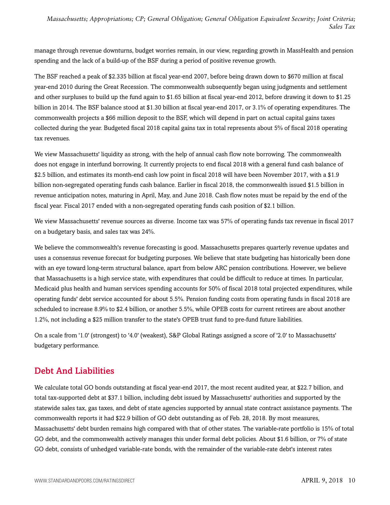manage through revenue downturns, budget worries remain, in our view, regarding growth in MassHealth and pension spending and the lack of a build-up of the BSF during a period of positive revenue growth.

The BSF reached a peak of \$2.335 billion at fiscal year-end 2007, before being drawn down to \$670 million at fiscal year-end 2010 during the Great Recession. The commonwealth subsequently began using judgments and settlement and other surpluses to build up the fund again to \$1.65 billion at fiscal year-end 2012, before drawing it down to \$1.25 billion in 2014. The BSF balance stood at \$1.30 billion at fiscal year-end 2017, or 3.1% of operating expenditures. The commonwealth projects a \$66 million deposit to the BSF, which will depend in part on actual capital gains taxes collected during the year. Budgeted fiscal 2018 capital gains tax in total represents about 5% of fiscal 2018 operating tax revenues.

We view Massachusetts' liquidity as strong, with the help of annual cash flow note borrowing. The commonwealth does not engage in interfund borrowing. It currently projects to end fiscal 2018 with a general fund cash balance of \$2.5 billion, and estimates its month-end cash low point in fiscal 2018 will have been November 2017, with a \$1.9 billion non-segregated operating funds cash balance. Earlier in fiscal 2018, the commonwealth issued \$1.5 billion in revenue anticipation notes, maturing in April, May, and June 2018. Cash flow notes must be repaid by the end of the fiscal year. Fiscal 2017 ended with a non-segregated operating funds cash position of \$2.1 billion.

We view Massachusetts' revenue sources as diverse. Income tax was 57% of operating funds tax revenue in fiscal 2017 on a budgetary basis, and sales tax was 24%.

We believe the commonwealth's revenue forecasting is good. Massachusetts prepares quarterly revenue updates and uses a consensus revenue forecast for budgeting purposes. We believe that state budgeting has historically been done with an eye toward long-term structural balance, apart from below ARC pension contributions. However, we believe that Massachusetts is a high service state, with expenditures that could be difficult to reduce at times. In particular, Medicaid plus health and human services spending accounts for 50% of fiscal 2018 total projected expenditures, while operating funds' debt service accounted for about 5.5%. Pension funding costs from operating funds in fiscal 2018 are scheduled to increase 8.9% to \$2.4 billion, or another 5.5%, while OPEB costs for current retirees are about another 1.2%, not including a \$25 million transfer to the state's OPEB trust fund to pre-fund future liabilities.

On a scale from '1.0' (strongest) to '4.0' (weakest), S&P Global Ratings assigned a score of '2.0' to Massachusetts' budgetary performance.

## <span id="page-9-0"></span>Debt And Liabilities

We calculate total GO bonds outstanding at fiscal year-end 2017, the most recent audited year, at \$22.7 billion, and total tax-supported debt at \$37.1 billion, including debt issued by Massachusetts' authorities and supported by the statewide sales tax, gas taxes, and debt of state agencies supported by annual state contract assistance payments. The commonwealth reports it had \$22.9 billion of GO debt outstanding as of Feb. 28, 2018. By most measures, Massachusetts' debt burden remains high compared with that of other states. The variable-rate portfolio is 15% of total GO debt, and the commonwealth actively manages this under formal debt policies. About \$1.6 billion, or 7% of state GO debt, consists of unhedged variable-rate bonds, with the remainder of the variable-rate debt's interest rates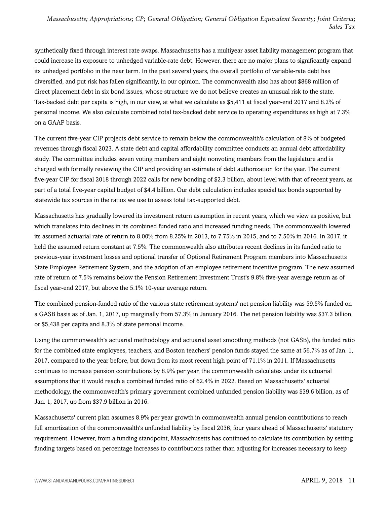synthetically fixed through interest rate swaps. Massachusetts has a multiyear asset liability management program that could increase its exposure to unhedged variable-rate debt. However, there are no major plans to significantly expand its unhedged portfolio in the near term. In the past several years, the overall portfolio of variable-rate debt has diversified, and put risk has fallen significantly, in our opinion. The commonwealth also has about \$868 million of direct placement debt in six bond issues, whose structure we do not believe creates an unusual risk to the state. Tax-backed debt per capita is high, in our view, at what we calculate as \$5,411 at fiscal year-end 2017 and 8.2% of personal income. We also calculate combined total tax-backed debt service to operating expenditures as high at 7.3% on a GAAP basis.

The current five-year CIP projects debt service to remain below the commonwealth's calculation of 8% of budgeted revenues through fiscal 2023. A state debt and capital affordability committee conducts an annual debt affordability study. The committee includes seven voting members and eight nonvoting members from the legislature and is charged with formally reviewing the CIP and providing an estimate of debt authorization for the year. The current five-year CIP for fiscal 2018 through 2022 calls for new bonding of \$2.3 billion, about level with that of recent years, as part of a total five-year capital budget of \$4.4 billion. Our debt calculation includes special tax bonds supported by statewide tax sources in the ratios we use to assess total tax-supported debt.

Massachusetts has gradually lowered its investment return assumption in recent years, which we view as positive, but which translates into declines in its combined funded ratio and increased funding needs. The commonwealth lowered its assumed actuarial rate of return to 8.00% from 8.25% in 2013, to 7.75% in 2015, and to 7.50% in 2016. In 2017, it held the assumed return constant at 7.5%. The commonwealth also attributes recent declines in its funded ratio to previous-year investment losses and optional transfer of Optional Retirement Program members into Massachusetts State Employee Retirement System, and the adoption of an employee retirement incentive program. The new assumed rate of return of 7.5% remains below the Pension Retirement Investment Trust's 9.8% five-year average return as of fiscal year-end 2017, but above the 5.1% 10-year average return.

The combined pension-funded ratio of the various state retirement systems' net pension liability was 59.5% funded on a GASB basis as of Jan. 1, 2017, up marginally from 57.3% in January 2016. The net pension liability was \$37.3 billion, or \$5,438 per capita and 8.3% of state personal income.

Using the commonwealth's actuarial methodology and actuarial asset smoothing methods (not GASB), the funded ratio for the combined state employees, teachers, and Boston teachers' pension funds stayed the same at 56.7% as of Jan. 1, 2017, compared to the year before, but down from its most recent high point of 71.1% in 2011. If Massachusetts continues to increase pension contributions by 8.9% per year, the commonwealth calculates under its actuarial assumptions that it would reach a combined funded ratio of 62.4% in 2022. Based on Massachusetts' actuarial methodology, the commonwealth's primary government combined unfunded pension liability was \$39.6 billion, as of Jan. 1, 2017, up from \$37.9 billion in 2016.

Massachusetts' current plan assumes 8.9% per year growth in commonwealth annual pension contributions to reach full amortization of the commonwealth's unfunded liability by fiscal 2036, four years ahead of Massachusetts' statutory requirement. However, from a funding standpoint, Massachusetts has continued to calculate its contribution by setting funding targets based on percentage increases to contributions rather than adjusting for increases necessary to keep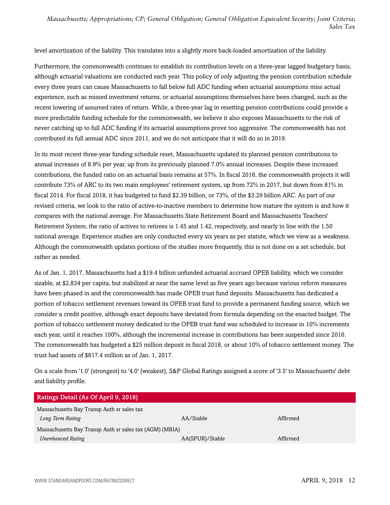level amortization of the liability. This translates into a slightly more back-loaded amortization of the liability.

Furthermore, the commonwealth continues to establish its contribution levels on a three-year lagged budgetary basis, although actuarial valuations are conducted each year. This policy of only adjusting the pension contribution schedule every three years can cause Massachusetts to fall below full ADC funding when actuarial assumptions miss actual experience, such as missed investment returns, or actuarial assumptions themselves have been changed, such as the recent lowering of assumed rates of return. While, a three-year lag in resetting pension contributions could provide a more predictable funding schedule for the commonwealth, we believe it also exposes Massachusetts to the risk of never catching up to full ADC funding if its actuarial assumptions prove too aggressive. The commonwealth has not contributed its full annual ADC since 2011, and we do not anticipate that it will do so in 2019.

In its most recent three-year funding schedule reset, Massachusetts updated its planned pension contributions to annual increases of 8.9% per year, up from its previously planned 7.0% annual increases. Despite these increased contributions, the funded ratio on an actuarial basis remains at 57%. In fiscal 2018, the commonwealth projects it will contribute 73% of ARC to its two main employees' retirement system, up from 72% in 2017, but down from 81% in fiscal 2014. For fiscal 2018, it has budgeted to fund \$2.39 billion, or 73%, of the \$3.29 billion ARC. As part of our revised criteria, we look to the ratio of active-to-inactive members to determine how mature the system is and how it compares with the national average. For Massachusetts State Retirement Board and Massachusetts Teachers' Retirement System, the ratio of actives to retirees is 1.45 and 1.42, respectively, and nearly in line with the 1.50 national average. Experience studies are only conducted every six years as per statute, which we view as a weakness. Although the commonwealth updates portions of the studies more frequently, this is not done on a set schedule, but rather as needed.

As of Jan. 1, 2017, Massachusetts had a \$19.4 billion unfunded actuarial accrued OPEB liability, which we consider sizable, at \$2,834 per capita, but stabilized at near the same level as five years ago because various reform measures have been phased in and the commonwealth has made OPEB trust fund deposits. Massachusetts has dedicated a portion of tobacco settlement revenues toward its OPEB trust fund to provide a permanent funding source, which we consider a credit positive, although exact deposits have deviated from formula depending on the enacted budget. The portion of tobacco settlement money dedicated to the OPEB trust fund was scheduled to increase in 10% increments each year, until it reaches 100%, although the incremental increase in contributions has been suspended since 2016. The commonwealth has budgeted a \$25 million deposit in fiscal 2018, or about 10% of tobacco settlement money. The trust had assets of \$817.4 million as of Jan. 1, 2017.

On a scale from '1.0' (strongest) to '4.0' (weakest), S&P Global Ratings assigned a score of '3.5' to Massachusetts' debt and liability profile.

| Ratings Detail (As Of April 9, 2018)                    |                 |          |
|---------------------------------------------------------|-----------------|----------|
| Massachusetts Bay Transp Auth sr sales tax              |                 |          |
| Long Term Rating                                        | AA/Stable       | Affirmed |
| Massachusetts Bay Transp Auth sr sales tax (AGM) (MBIA) |                 |          |
| <b>Unenhanced Rating</b>                                | AA(SPUR)/Stable | Affirmed |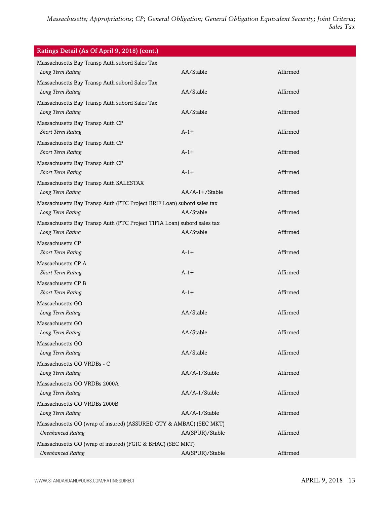| Ratings Detail (As Of April 9, 2018) (cont.)                                                   |                  |          |
|------------------------------------------------------------------------------------------------|------------------|----------|
| Massachusetts Bay Transp Auth subord Sales Tax<br>Long Term Rating                             | AA/Stable        | Affirmed |
| Massachusetts Bay Transp Auth subord Sales Tax<br>Long Term Rating                             | AA/Stable        | Affirmed |
| Massachusetts Bay Transp Auth subord Sales Tax<br>Long Term Rating                             | AA/Stable        | Affirmed |
| Massachusetts Bay Transp Auth CP<br><b>Short Term Rating</b>                                   | $A-1+$           | Affirmed |
| Massachusetts Bay Transp Auth CP<br><b>Short Term Rating</b>                                   | $A-1+$           | Affirmed |
| Massachusetts Bay Transp Auth CP<br><b>Short Term Rating</b>                                   | $A-1+$           | Affirmed |
| Massachusetts Bay Transp Auth SALESTAX<br>Long Term Rating                                     | $AA/A-1+/Stable$ | Affirmed |
| Massachusetts Bay Transp Auth (PTC Project RRIF Loan) subord sales tax<br>Long Term Rating     | AA/Stable        | Affirmed |
| Massachusetts Bay Transp Auth (PTC Project TIFIA Loan) subord sales tax<br>Long Term Rating    | AA/Stable        | Affirmed |
| Massachusetts CP<br><b>Short Term Rating</b>                                                   | $A-1+$           | Affirmed |
| Massachusetts CP A<br><b>Short Term Rating</b>                                                 | $A-1+$           | Affirmed |
| Massachusetts CP B<br><b>Short Term Rating</b>                                                 | $A-1+$           | Affirmed |
| Massachusetts GO<br>Long Term Rating                                                           | AA/Stable        | Affirmed |
| Massachusetts GO<br>Long Term Rating                                                           | AA/Stable        | Affirmed |
| Massachusetts GO<br>Long Term Rating                                                           | AA/Stable        | Affirmed |
| Massachusetts GO VRDBs - C<br>Long Term Rating                                                 | AA/A-1/Stable    | Affirmed |
| Massachusetts GO VRDBs 2000A<br>Long Term Rating                                               | AA/A-1/Stable    | Affirmed |
| Massachusetts GO VRDBs 2000B<br>Long Term Rating                                               | AA/A-1/Stable    | Affirmed |
| Massachusetts GO (wrap of insured) (ASSURED GTY & AMBAC) (SEC MKT)<br><b>Unenhanced Rating</b> | AA(SPUR)/Stable  | Affirmed |
| Massachusetts GO (wrap of insured) (FGIC & BHAC) (SEC MKT)<br><b>Unenhanced Rating</b>         | AA(SPUR)/Stable  | Affirmed |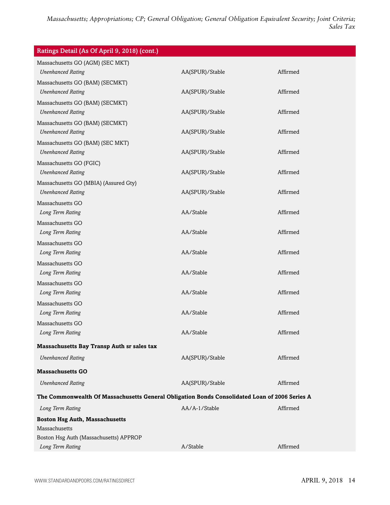| Ratings Detail (As Of April 9, 2018) (cont.)                                                  |                 |          |
|-----------------------------------------------------------------------------------------------|-----------------|----------|
| Massachusetts GO (AGM) (SEC MKT)                                                              |                 |          |
| <b>Unenhanced Rating</b>                                                                      | AA(SPUR)/Stable | Affirmed |
| Massachusetts GO (BAM) (SECMKT)                                                               |                 |          |
| <b>Unenhanced Rating</b>                                                                      | AA(SPUR)/Stable | Affirmed |
| Massachusetts GO (BAM) (SECMKT)<br><b>Unenhanced Rating</b>                                   | AA(SPUR)/Stable | Affirmed |
| Massachusetts GO (BAM) (SECMKT)                                                               |                 |          |
| <b>Unenhanced Rating</b>                                                                      | AA(SPUR)/Stable | Affirmed |
| Massachusetts GO (BAM) (SEC MKT)                                                              |                 |          |
| <b>Unenhanced Rating</b>                                                                      | AA(SPUR)/Stable | Affirmed |
| Massachusetts GO (FGIC)                                                                       |                 |          |
| <b>Unenhanced Rating</b>                                                                      | AA(SPUR)/Stable | Affirmed |
| Massachusetts GO (MBIA) (Assured Gty)                                                         |                 |          |
| <b>Unenhanced Rating</b>                                                                      | AA(SPUR)/Stable | Affirmed |
| Massachusetts GO                                                                              |                 |          |
| Long Term Rating                                                                              | AA/Stable       | Affirmed |
| Massachusetts GO                                                                              |                 |          |
| Long Term Rating                                                                              | AA/Stable       | Affirmed |
| Massachusetts GO                                                                              |                 |          |
| Long Term Rating                                                                              | AA/Stable       | Affirmed |
| Massachusetts GO                                                                              |                 |          |
| Long Term Rating                                                                              | AA/Stable       | Affirmed |
| Massachusetts GO                                                                              |                 |          |
| Long Term Rating                                                                              | AA/Stable       | Affirmed |
| Massachusetts GO                                                                              |                 |          |
| Long Term Rating                                                                              | AA/Stable       | Affirmed |
| Massachusetts GO                                                                              |                 |          |
| Long Term Rating                                                                              | AA/Stable       | Affirmed |
| Massachusetts Bay Transp Auth sr sales tax                                                    |                 |          |
| <b>Unenhanced Rating</b>                                                                      | AA(SPUR)/Stable | Affirmed |
| <b>Massachusetts GO</b>                                                                       |                 |          |
| <b>Unenhanced Rating</b>                                                                      | AA(SPUR)/Stable | Affirmed |
| The Commonwealth Of Massachusetts General Obligation Bonds Consolidated Loan of 2006 Series A |                 |          |
| Long Term Rating                                                                              | AA/A-1/Stable   | Affirmed |
| <b>Boston Hsg Auth, Massachusetts</b>                                                         |                 |          |
| Massachusetts                                                                                 |                 |          |
| Boston Hsg Auth (Massachusetts) APPROP                                                        |                 |          |
| Long Term Rating                                                                              | A/Stable        | Affirmed |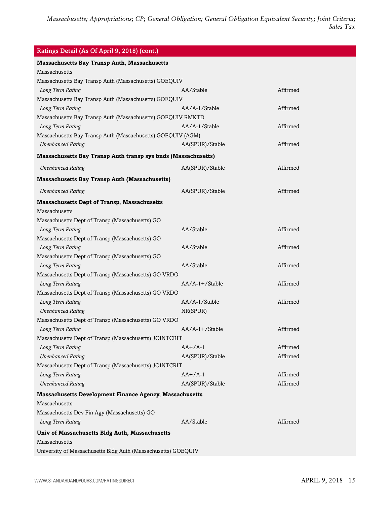| <b>Massachusetts Bay Transp Auth, Massachusetts</b>            |                  |          |
|----------------------------------------------------------------|------------------|----------|
| Massachusetts                                                  |                  |          |
| Massachusetts Bay Transp Auth (Massachusetts) GOEQUIV          |                  |          |
| Long Term Rating                                               | AA/Stable        | Affirmed |
| Massachusetts Bay Transp Auth (Massachusetts) GOEQUIV          |                  |          |
| Long Term Rating                                               | AA/A-1/Stable    | Affirmed |
| Massachusetts Bay Transp Auth (Massachusetts) GOEQUIV RMKTD    |                  |          |
| Long Term Rating                                               | AA/A-1/Stable    | Affirmed |
| Massachusetts Bay Transp Auth (Massachusetts) GOEQUIV (AGM)    |                  |          |
| <b>Unenhanced Rating</b>                                       | AA(SPUR)/Stable  | Affirmed |
| Massachusetts Bay Transp Auth transp sys bnds (Massachusetts)  |                  |          |
| <b>Unenhanced Rating</b>                                       | AA(SPUR)/Stable  | Affirmed |
| <b>Massachusetts Bay Transp Auth (Massachusetts)</b>           |                  |          |
| <b>Unenhanced Rating</b>                                       | AA(SPUR)/Stable  | Affirmed |
| <b>Massachusetts Dept of Transp, Massachusetts</b>             |                  |          |
| Massachusetts                                                  |                  |          |
| Massachusetts Dept of Transp (Massachusetts) GO                |                  |          |
| Long Term Rating                                               | AA/Stable        | Affirmed |
| Massachusetts Dept of Transp (Massachusetts) GO                |                  |          |
| Long Term Rating                                               | AA/Stable        | Affirmed |
| Massachusetts Dept of Transp (Massachusetts) GO                |                  |          |
| Long Term Rating                                               | AA/Stable        | Affirmed |
| Massachusetts Dept of Transp (Massachusetts) GO VRDO           |                  |          |
| Long Term Rating                                               | $AA/A-1+/Stable$ | Affirmed |
| Massachusetts Dept of Transp (Massachusetts) GO VRDO           |                  |          |
| Long Term Rating                                               | AA/A-1/Stable    | Affirmed |
| <b>Unenhanced Rating</b>                                       | NR(SPUR)         |          |
| Massachusetts Dept of Transp (Massachusetts) GO VRDO           |                  |          |
| Long Term Rating                                               | $AA/A-1+/Stable$ | Affirmed |
| Massachusetts Dept of Transp (Massachusetts) JOINTCRIT         |                  |          |
| Long Term Rating                                               | $AA+/A-1$        | Affirmed |
| <b>Unenhanced Rating</b>                                       | AA(SPUR)/Stable  | Affirmed |
| Massachusetts Dept of Transp (Massachusetts) JOINTCRIT         |                  |          |
| Long Term Rating                                               | $AA+/A-1$        | Affirmed |
| <b>Unenhanced Rating</b>                                       | AA(SPUR)/Stable  | Affirmed |
| <b>Massachusetts Development Finance Agency, Massachusetts</b> |                  |          |
| Massachusetts                                                  |                  |          |
| Massachusetts Dev Fin Agy (Massachusetts) GO                   |                  |          |
| Long Term Rating                                               | AA/Stable        | Affirmed |
| Univ of Massachusetts Bldg Auth, Massachusetts                 |                  |          |
| Massachusetts                                                  |                  |          |
| University of Massachusetts Bldg Auth (Massachusetts) GOEQUIV  |                  |          |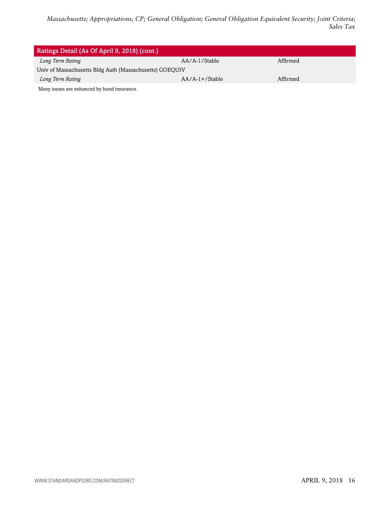| Ratings Detail (As Of April 9, 2018) (cont.)            |                  |          |  |
|---------------------------------------------------------|------------------|----------|--|
| Long Term Rating                                        | AA/A-1/Stable    | Affirmed |  |
| Univ of Massachusetts Bldg Auth (Massachusetts) GOEQUIV |                  |          |  |
| Long Term Rating                                        | $AA/A-1+/Stable$ | Affirmed |  |
| Many issues are enhanced by bond insurance.             |                  |          |  |